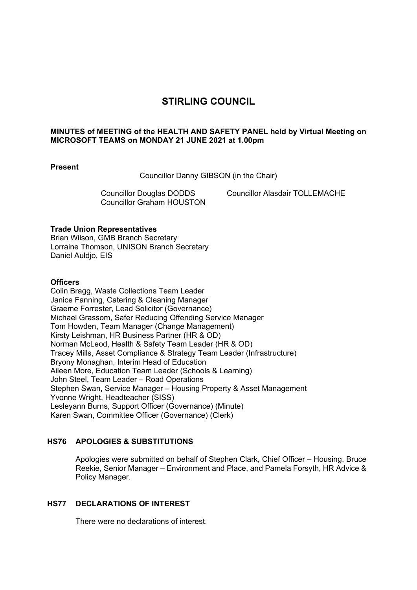# **STIRLING COUNCIL**

#### **MINUTES of MEETING of the HEALTH AND SAFETY PANEL held by Virtual Meeting on MICROSOFT TEAMS on MONDAY 21 JUNE 2021 at 1.00pm**

#### **Present**

Councillor Danny GIBSON (in the Chair)

Councillor Graham HOUSTON

Councillor Douglas DODDS Councillor Alasdair TOLLEMACHE

#### **Trade Union Representatives**

Brian Wilson, GMB Branch Secretary Lorraine Thomson, UNISON Branch Secretary Daniel Auldjo, EIS

#### **Officers**

Colin Bragg, Waste Collections Team Leader Janice Fanning, Catering & Cleaning Manager Graeme Forrester, Lead Solicitor (Governance) Michael Grassom, Safer Reducing Offending Service Manager Tom Howden, Team Manager (Change Management) Kirsty Leishman, HR Business Partner (HR & OD) Norman McLeod, Health & Safety Team Leader (HR & OD) Tracey Mills, Asset Compliance & Strategy Team Leader (Infrastructure) Bryony Monaghan, Interim Head of Education Aileen More, Education Team Leader (Schools & Learning) John Steel, Team Leader – Road Operations Stephen Swan, Service Manager – Housing Property & Asset Management Yvonne Wright, Headteacher (SISS) Lesleyann Burns, Support Officer (Governance) (Minute) Karen Swan, Committee Officer (Governance) (Clerk)

## **HS76 APOLOGIES & SUBSTITUTIONS**

Apologies were submitted on behalf of Stephen Clark, Chief Officer – Housing, Bruce Reekie, Senior Manager – Environment and Place, and Pamela Forsyth, HR Advice & Policy Manager.

#### **HS77 DECLARATIONS OF INTEREST**

There were no declarations of interest.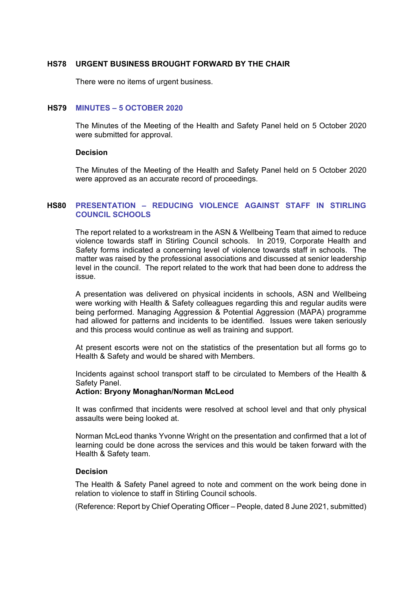#### **HS78 URGENT BUSINESS BROUGHT FORWARD BY THE CHAIR**

There were no items of urgent business.

#### **HS79 MINUTES – 5 OCTOBER 2020**

The Minutes of the Meeting of the Health and Safety Panel held on 5 October 2020 were submitted for approval.

#### **Decision**

The Minutes of the Meeting of the Health and Safety Panel held on 5 October 2020 were approved as an accurate record of proceedings.

#### **HS80 PRESENTATION – REDUCING VIOLENCE AGAINST STAFF IN STIRLING COUNCIL SCHOOLS**

The report related to a workstream in the ASN & Wellbeing Team that aimed to reduce violence towards staff in Stirling Council schools. In 2019, Corporate Health and Safety forms indicated a concerning level of violence towards staff in schools. The matter was raised by the professional associations and discussed at senior leadership level in the council. The report related to the work that had been done to address the issue.

A presentation was delivered on physical incidents in schools, ASN and Wellbeing were working with Health & Safety colleagues regarding this and regular audits were being performed. Managing Aggression & Potential Aggression (MAPA) programme had allowed for patterns and incidents to be identified. Issues were taken seriously and this process would continue as well as training and support.

At present escorts were not on the statistics of the presentation but all forms go to Health & Safety and would be shared with Members.

Incidents against school transport staff to be circulated to Members of the Health & Safety Panel.

#### **Action: Bryony Monaghan/Norman McLeod**

It was confirmed that incidents were resolved at school level and that only physical assaults were being looked at.

Norman McLeod thanks Yvonne Wright on the presentation and confirmed that a lot of learning could be done across the services and this would be taken forward with the Health & Safety team.

#### **Decision**

The Health & Safety Panel agreed to note and comment on the work being done in relation to violence to staff in Stirling Council schools.

(Reference: Report by Chief Operating Officer – People, dated 8 June 2021, submitted)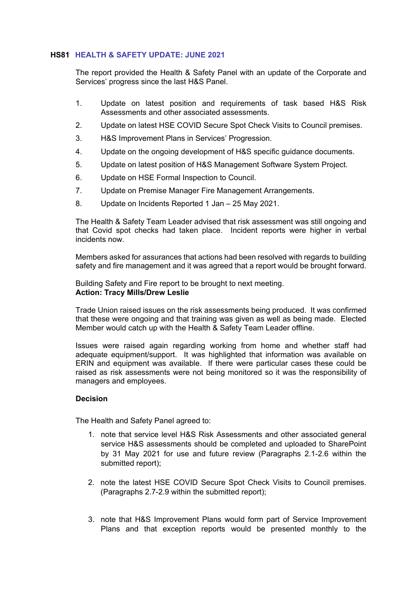#### **HS81 HEALTH & SAFETY UPDATE: JUNE 2021**

The report provided the Health & Safety Panel with an update of the Corporate and Services' progress since the last H&S Panel.

- 1. Update on latest position and requirements of task based H&S Risk Assessments and other associated assessments.
- 2. Update on latest HSE COVID Secure Spot Check Visits to Council premises.
- 3. H&S Improvement Plans in Services' Progression.
- 4. Update on the ongoing development of H&S specific guidance documents.
- 5. Update on latest position of H&S Management Software System Project.
- 6. Update on HSE Formal Inspection to Council.
- 7. Update on Premise Manager Fire Management Arrangements.
- 8. Update on Incidents Reported 1 Jan 25 May 2021.

The Health & Safety Team Leader advised that risk assessment was still ongoing and that Covid spot checks had taken place. Incident reports were higher in verbal incidents now.

Members asked for assurances that actions had been resolved with regards to building safety and fire management and it was agreed that a report would be brought forward.

Building Safety and Fire report to be brought to next meeting. **Action: Tracy Mills/Drew Leslie** 

Trade Union raised issues on the risk assessments being produced. It was confirmed that these were ongoing and that training was given as well as being made. Elected Member would catch up with the Health & Safety Team Leader offline.

Issues were raised again regarding working from home and whether staff had adequate equipment/support. It was highlighted that information was available on ERIN and equipment was available. If there were particular cases these could be raised as risk assessments were not being monitored so it was the responsibility of managers and employees.

#### **Decision**

The Health and Safety Panel agreed to:

- 1. note that service level H&S Risk Assessments and other associated general service H&S assessments should be completed and uploaded to SharePoint by 31 May 2021 for use and future review (Paragraphs 2.1-2.6 within the submitted report);
- 2. note the latest HSE COVID Secure Spot Check Visits to Council premises. (Paragraphs 2.7-2.9 within the submitted report);
- 3. note that H&S Improvement Plans would form part of Service Improvement Plans and that exception reports would be presented monthly to the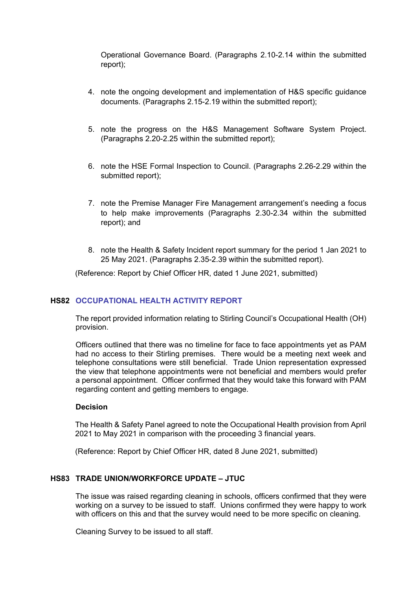Operational Governance Board. (Paragraphs 2.10-2.14 within the submitted report);

- 4. note the ongoing development and implementation of H&S specific guidance documents. (Paragraphs 2.15-2.19 within the submitted report);
- 5. note the progress on the H&S Management Software System Project. (Paragraphs 2.20-2.25 within the submitted report);
- 6. note the HSE Formal Inspection to Council. (Paragraphs 2.26-2.29 within the submitted report);
- 7. note the Premise Manager Fire Management arrangement's needing a focus to help make improvements (Paragraphs 2.30-2.34 within the submitted report); and
- 8. note the Health & Safety Incident report summary for the period 1 Jan 2021 to 25 May 2021. (Paragraphs 2.35-2.39 within the submitted report).

(Reference: Report by Chief Officer HR, dated 1 June 2021, submitted)

## **HS82 OCCUPATIONAL HEALTH ACTIVITY REPORT**

The report provided information relating to Stirling Council's Occupational Health (OH) provision.

Officers outlined that there was no timeline for face to face appointments yet as PAM had no access to their Stirling premises. There would be a meeting next week and telephone consultations were still beneficial. Trade Union representation expressed the view that telephone appointments were not beneficial and members would prefer a personal appointment. Officer confirmed that they would take this forward with PAM regarding content and getting members to engage.

#### **Decision**

The Health & Safety Panel agreed to note the Occupational Health provision from April 2021 to May 2021 in comparison with the proceeding 3 financial years.

(Reference: Report by Chief Officer HR, dated 8 June 2021, submitted)

## **HS83 TRADE UNION/WORKFORCE UPDATE – JTUC**

The issue was raised regarding cleaning in schools, officers confirmed that they were working on a survey to be issued to staff. Unions confirmed they were happy to work with officers on this and that the survey would need to be more specific on cleaning.

Cleaning Survey to be issued to all staff.